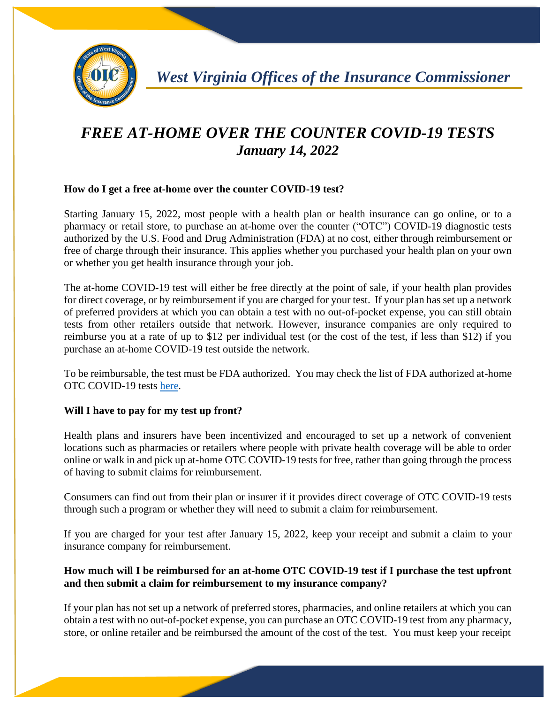

# *FREE AT-HOME OVER THE COUNTER COVID-19 TESTS January 14, 2022*

# **How do I get a free at-home over the counter COVID-19 test?**

Starting January 15, 2022, most people with a health plan or health insurance can go online, or to a pharmacy or retail store, to purchase an at-home over the counter ("OTC") COVID-19 diagnostic tests authorized by the U.S. Food and Drug Administration (FDA) at no cost, either through reimbursement or free of charge through their insurance. This applies whether you purchased your health plan on your own or whether you get health insurance through your job.

The at-home COVID-19 test will either be free directly at the point of sale, if your health plan provides for direct coverage, or by reimbursement if you are charged for your test. If your plan has set up a network of preferred providers at which you can obtain a test with no out-of-pocket expense, you can still obtain tests from other retailers outside that network. However, insurance companies are only required to reimburse you at a rate of up to \$12 per individual test (or the cost of the test, if less than \$12) if you purchase an at-home COVID-19 test outside the network.

To be reimbursable, the test must be FDA authorized. You may check the list of FDA authorized at-home OTC COVID-19 tests [here.](https://www.fda.gov/medical-devices/coronavirus-disease-2019-covid-19-emergency-use-authorizations-medical-devices/in-vitro-diagnostics-euas-antigen-diagnostic-tests-sars-cov-2)

## **Will I have to pay for my test up front?**

Health plans and insurers have been incentivized and encouraged to set up a network of convenient locations such as pharmacies or retailers where people with private health coverage will be able to order online or walk in and pick up at-home OTC COVID-19 tests for free, rather than going through the process of having to submit claims for reimbursement.

Consumers can find out from their plan or insurer if it provides direct coverage of OTC COVID-19 tests through such a program or whether they will need to submit a claim for reimbursement.

If you are charged for your test after January 15, 2022, keep your receipt and submit a claim to your insurance company for reimbursement.

# **How much will I be reimbursed for an at-home OTC COVID-19 test if I purchase the test upfront and then submit a claim for reimbursement to my insurance company?**

If your plan has not set up a network of preferred stores, pharmacies, and online retailers at which you can obtain a test with no out-of-pocket expense, you can purchase an OTC COVID-19 test from any pharmacy, store, or online retailer and be reimbursed the amount of the cost of the test. You must keep your receipt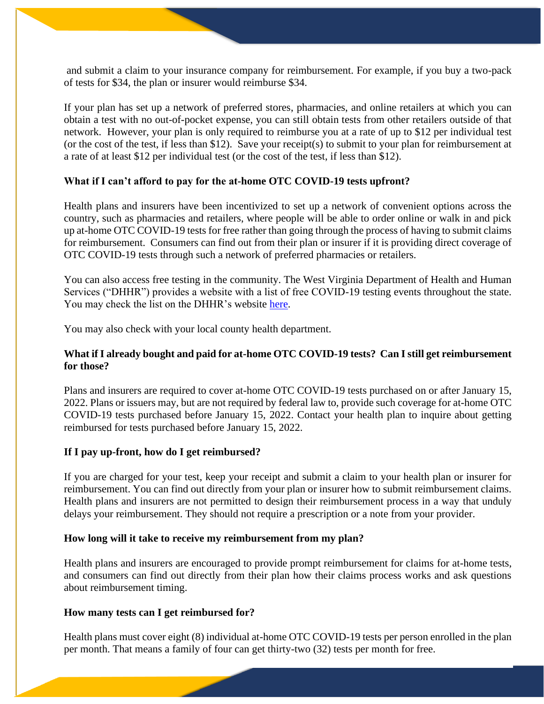and submit a claim to your insurance company for reimbursement. For example, if you buy a two-pack of tests for \$34, the plan or insurer would reimburse \$34.

If your plan has set up a network of preferred stores, pharmacies, and online retailers at which you can obtain a test with no out-of-pocket expense, you can still obtain tests from other retailers outside of that network. However, your plan is only required to reimburse you at a rate of up to \$12 per individual test (or the cost of the test, if less than \$12). Save your receipt(s) to submit to your plan for reimbursement at a rate of at least \$12 per individual test (or the cost of the test, if less than \$12).

#### **What if I can't afford to pay for the at-home OTC COVID-19 tests upfront?**

Health plans and insurers have been incentivized to set up a network of convenient options across the country, such as pharmacies and retailers, where people will be able to order online or walk in and pick up at-home OTC COVID-19 tests for free rather than going through the process of having to submit claims for reimbursement. Consumers can find out from their plan or insurer if it is providing direct coverage of OTC COVID-19 tests through such a network of preferred pharmacies or retailers.

You can also access free testing in the community. The West Virginia Department of Health and Human Services ("DHHR") provides a website with a list of free COVID-19 testing events throughout the state. You may check the list on the DHHR's website [here.](https://dhhr.wv.gov/COVID-19/Pages/testing.aspx)

You may also check with your local county health department.

## **What if I already bought and paid for at-home OTC COVID-19 tests? Can I still get reimbursement for those?**

Plans and insurers are required to cover at-home OTC COVID-19 tests purchased on or after January 15, 2022. Plans or issuers may, but are not required by federal law to, provide such coverage for at-home OTC COVID-19 tests purchased before January 15, 2022. Contact your health plan to inquire about getting reimbursed for tests purchased before January 15, 2022.

#### **If I pay up-front, how do I get reimbursed?**

If you are charged for your test, keep your receipt and submit a claim to your health plan or insurer for reimbursement. You can find out directly from your plan or insurer how to submit reimbursement claims. Health plans and insurers are not permitted to design their reimbursement process in a way that unduly delays your reimbursement. They should not require a prescription or a note from your provider.

#### **How long will it take to receive my reimbursement from my plan?**

Health plans and insurers are encouraged to provide prompt reimbursement for claims for at-home tests, and consumers can find out directly from their plan how their claims process works and ask questions about reimbursement timing.

### **How many tests can I get reimbursed for?**

Health plans must cover eight (8) individual at-home OTC COVID-19 tests per person enrolled in the plan per month. That means a family of four can get thirty-two (32) tests per month for free.